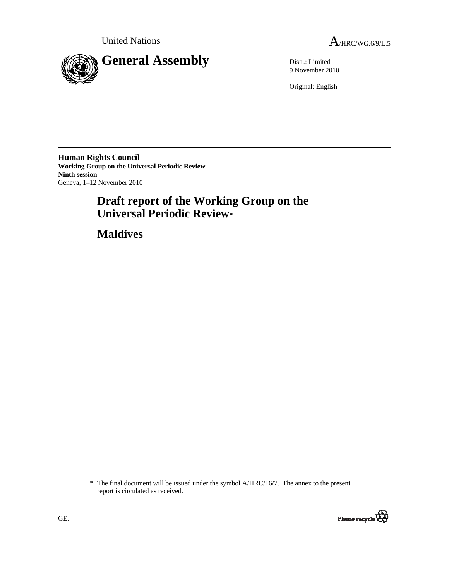

9 November 2010

Original: English

**Human Rights Council Working Group on the Universal Periodic Review Ninth session**  Geneva, 1–12 November 2010

# **Draft report of the Working Group on the Universal Periodic Review\***

 **Maldives** 

<sup>\*</sup> The final document will be issued under the symbol A/HRC/16/7. The annex to the present report is circulated as received.

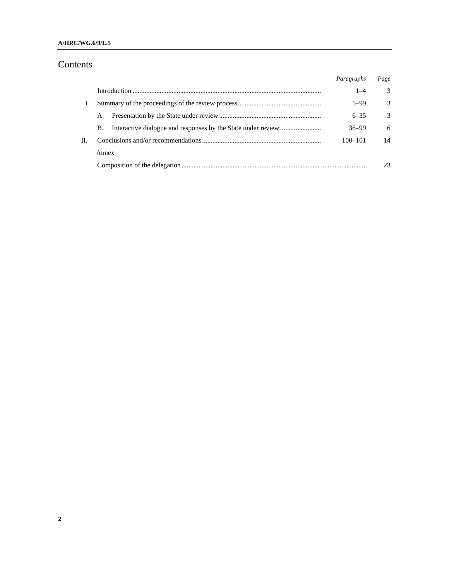### **A/HRC/WG.6/9/L.5**

# Contents

|    |       | Paragraphs  | Page          |
|----|-------|-------------|---------------|
|    |       | $1 - 4$     | 3             |
|    |       | $5 - 99$    | 3             |
|    | А.    | $6 - 35$    | $\mathcal{Z}$ |
|    | В.    | $36 - 99$   | 6             |
| Н. |       | $100 - 101$ | 14            |
|    | Annex |             |               |
|    |       |             | 23            |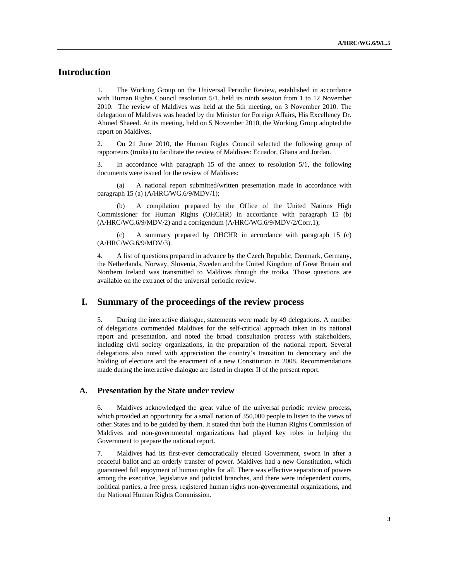# **Introduction**

1. The Working Group on the Universal Periodic Review, established in accordance with Human Rights Council resolution 5/1, held its ninth session from 1 to 12 November 2010. The review of Maldives was held at the 5th meeting, on 3 November 2010. The delegation of Maldives was headed by the Minister for Foreign Affairs, His Excellency Dr. Ahmed Shaeed. At its meeting, held on 5 November 2010, the Working Group adopted the report on Maldives.

2. On 21 June 2010, the Human Rights Council selected the following group of rapporteurs (troika) to facilitate the review of Maldives: Ecuador, Ghana and Jordan.

3. In accordance with paragraph 15 of the annex to resolution 5/1, the following documents were issued for the review of Maldives:

 (a) A national report submitted/written presentation made in accordance with paragraph 15 (a) (A/HRC/WG.6/9/MDV/1);

 (b) A compilation prepared by the Office of the United Nations High Commissioner for Human Rights (OHCHR) in accordance with paragraph 15 (b) (A/HRC/WG.6/9/MDV/2) and a corrigendum (A/HRC/WG.6/9/MDV/2/Corr.1);

 (c) A summary prepared by OHCHR in accordance with paragraph 15 (c) (A/HRC/WG.6/9/MDV/3).

4. A list of questions prepared in advance by the Czech Republic, Denmark, Germany, the Netherlands, Norway, Slovenia, Sweden and the United Kingdom of Great Britain and Northern Ireland was transmitted to Maldives through the troika. Those questions are available on the extranet of the universal periodic review.

### **I. Summary of the proceedings of the review process**

5. During the interactive dialogue, statements were made by 49 delegations. A number of delegations commended Maldives for the self-critical approach taken in its national report and presentation, and noted the broad consultation process with stakeholders, including civil society organizations, in the preparation of the national report. Several delegations also noted with appreciation the country's transition to democracy and the holding of elections and the enactment of a new Constitution in 2008. Recommendations made during the interactive dialogue are listed in chapter II of the present report.

#### **A. Presentation by the State under review**

6. Maldives acknowledged the great value of the universal periodic review process, which provided an opportunity for a small nation of 350,000 people to listen to the views of other States and to be guided by them. It stated that both the Human Rights Commission of Maldives and non-governmental organizations had played key roles in helping the Government to prepare the national report.

7. Maldives had its first-ever democratically elected Government, sworn in after a peaceful ballot and an orderly transfer of power. Maldives had a new Constitution, which guaranteed full enjoyment of human rights for all. There was effective separation of powers among the executive, legislative and judicial branches, and there were independent courts, political parties, a free press, registered human rights non-governmental organizations, and the National Human Rights Commission.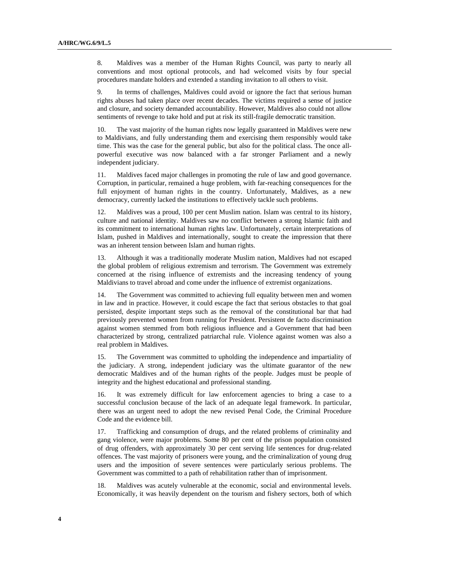8. Maldives was a member of the Human Rights Council, was party to nearly all conventions and most optional protocols, and had welcomed visits by four special procedures mandate holders and extended a standing invitation to all others to visit.

9. In terms of challenges, Maldives could avoid or ignore the fact that serious human rights abuses had taken place over recent decades. The victims required a sense of justice and closure, and society demanded accountability. However, Maldives also could not allow sentiments of revenge to take hold and put at risk its still-fragile democratic transition.

10. The vast majority of the human rights now legally guaranteed in Maldives were new to Maldivians, and fully understanding them and exercising them responsibly would take time. This was the case for the general public, but also for the political class. The once allpowerful executive was now balanced with a far stronger Parliament and a newly independent judiciary.

11. Maldives faced major challenges in promoting the rule of law and good governance. Corruption, in particular, remained a huge problem, with far-reaching consequences for the full enjoyment of human rights in the country. Unfortunately, Maldives, as a new democracy, currently lacked the institutions to effectively tackle such problems.

12. Maldives was a proud, 100 per cent Muslim nation. Islam was central to its history, culture and national identity. Maldives saw no conflict between a strong Islamic faith and its commitment to international human rights law. Unfortunately, certain interpretations of Islam, pushed in Maldives and internationally, sought to create the impression that there was an inherent tension between Islam and human rights.

13. Although it was a traditionally moderate Muslim nation, Maldives had not escaped the global problem of religious extremism and terrorism. The Government was extremely concerned at the rising influence of extremists and the increasing tendency of young Maldivians to travel abroad and come under the influence of extremist organizations.

14. The Government was committed to achieving full equality between men and women in law and in practice. However, it could escape the fact that serious obstacles to that goal persisted, despite important steps such as the removal of the constitutional bar that had previously prevented women from running for President. Persistent de facto discrimination against women stemmed from both religious influence and a Government that had been characterized by strong, centralized patriarchal rule. Violence against women was also a real problem in Maldives.

15. The Government was committed to upholding the independence and impartiality of the judiciary. A strong, independent judiciary was the ultimate guarantor of the new democratic Maldives and of the human rights of the people. Judges must be people of integrity and the highest educational and professional standing.

16. It was extremely difficult for law enforcement agencies to bring a case to a successful conclusion because of the lack of an adequate legal framework. In particular, there was an urgent need to adopt the new revised Penal Code, the Criminal Procedure Code and the evidence bill.

17. Trafficking and consumption of drugs, and the related problems of criminality and gang violence, were major problems. Some 80 per cent of the prison population consisted of drug offenders, with approximately 30 per cent serving life sentences for drug-related offences. The vast majority of prisoners were young, and the criminalization of young drug users and the imposition of severe sentences were particularly serious problems. The Government was committed to a path of rehabilitation rather than of imprisonment.

18. Maldives was acutely vulnerable at the economic, social and environmental levels. Economically, it was heavily dependent on the tourism and fishery sectors, both of which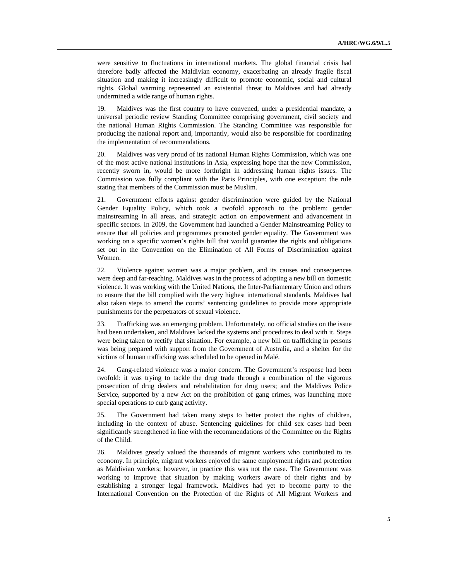were sensitive to fluctuations in international markets. The global financial crisis had therefore badly affected the Maldivian economy, exacerbating an already fragile fiscal situation and making it increasingly difficult to promote economic, social and cultural rights. Global warming represented an existential threat to Maldives and had already undermined a wide range of human rights.

19. Maldives was the first country to have convened, under a presidential mandate, a universal periodic review Standing Committee comprising government, civil society and the national Human Rights Commission. The Standing Committee was responsible for producing the national report and, importantly, would also be responsible for coordinating the implementation of recommendations.

20. Maldives was very proud of its national Human Rights Commission, which was one of the most active national institutions in Asia, expressing hope that the new Commission, recently sworn in, would be more forthright in addressing human rights issues. The Commission was fully compliant with the Paris Principles, with one exception: the rule stating that members of the Commission must be Muslim.

21. Government efforts against gender discrimination were guided by the National Gender Equality Policy, which took a twofold approach to the problem: gender mainstreaming in all areas, and strategic action on empowerment and advancement in specific sectors. In 2009, the Government had launched a Gender Mainstreaming Policy to ensure that all policies and programmes promoted gender equality. The Government was working on a specific women's rights bill that would guarantee the rights and obligations set out in the Convention on the Elimination of All Forms of Discrimination against Women.

22. Violence against women was a major problem, and its causes and consequences were deep and far-reaching. Maldives was in the process of adopting a new bill on domestic violence. It was working with the United Nations, the Inter-Parliamentary Union and others to ensure that the bill complied with the very highest international standards. Maldives had also taken steps to amend the courts' sentencing guidelines to provide more appropriate punishments for the perpetrators of sexual violence.

23. Trafficking was an emerging problem. Unfortunately, no official studies on the issue had been undertaken, and Maldives lacked the systems and procedures to deal with it. Steps were being taken to rectify that situation. For example, a new bill on trafficking in persons was being prepared with support from the Government of Australia, and a shelter for the victims of human trafficking was scheduled to be opened in Malé.

24. Gang-related violence was a major concern. The Government's response had been twofold: it was trying to tackle the drug trade through a combination of the vigorous prosecution of drug dealers and rehabilitation for drug users; and the Maldives Police Service, supported by a new Act on the prohibition of gang crimes, was launching more special operations to curb gang activity.

25. The Government had taken many steps to better protect the rights of children, including in the context of abuse. Sentencing guidelines for child sex cases had been significantly strengthened in line with the recommendations of the Committee on the Rights of the Child.

26. Maldives greatly valued the thousands of migrant workers who contributed to its economy. In principle, migrant workers enjoyed the same employment rights and protection as Maldivian workers; however, in practice this was not the case. The Government was working to improve that situation by making workers aware of their rights and by establishing a stronger legal framework. Maldives had yet to become party to the International Convention on the Protection of the Rights of All Migrant Workers and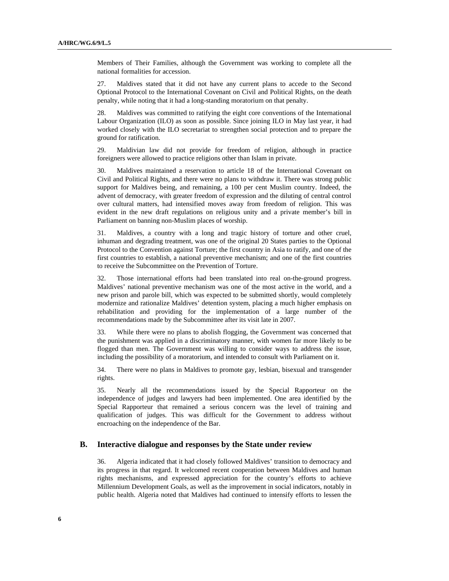Members of Their Families, although the Government was working to complete all the national formalities for accession.

27. Maldives stated that it did not have any current plans to accede to the Second Optional Protocol to the International Covenant on Civil and Political Rights, on the death penalty, while noting that it had a long-standing moratorium on that penalty.

28. Maldives was committed to ratifying the eight core conventions of the International Labour Organization (ILO) as soon as possible. Since joining ILO in May last year, it had worked closely with the ILO secretariat to strengthen social protection and to prepare the ground for ratification.

29. Maldivian law did not provide for freedom of religion, although in practice foreigners were allowed to practice religions other than Islam in private.

30. Maldives maintained a reservation to article 18 of the International Covenant on Civil and Political Rights, and there were no plans to withdraw it. There was strong public support for Maldives being, and remaining, a 100 per cent Muslim country. Indeed, the advent of democracy, with greater freedom of expression and the diluting of central control over cultural matters, had intensified moves away from freedom of religion. This was evident in the new draft regulations on religious unity and a private member's bill in Parliament on banning non-Muslim places of worship.

31. Maldives, a country with a long and tragic history of torture and other cruel, inhuman and degrading treatment, was one of the original 20 States parties to the Optional Protocol to the Convention against Torture; the first country in Asia to ratify, and one of the first countries to establish, a national preventive mechanism; and one of the first countries to receive the Subcommittee on the Prevention of Torture.

32. Those international efforts had been translated into real on-the-ground progress. Maldives' national preventive mechanism was one of the most active in the world, and a new prison and parole bill, which was expected to be submitted shortly, would completely modernize and rationalize Maldives' detention system, placing a much higher emphasis on rehabilitation and providing for the implementation of a large number of the recommendations made by the Subcommittee after its visit late in 2007.

33. While there were no plans to abolish flogging, the Government was concerned that the punishment was applied in a discriminatory manner, with women far more likely to be flogged than men. The Government was willing to consider ways to address the issue, including the possibility of a moratorium, and intended to consult with Parliament on it.

34. There were no plans in Maldives to promote gay, lesbian, bisexual and transgender rights.

35. Nearly all the recommendations issued by the Special Rapporteur on the independence of judges and lawyers had been implemented. One area identified by the Special Rapporteur that remained a serious concern was the level of training and qualification of judges. This was difficult for the Government to address without encroaching on the independence of the Bar.

#### **B. Interactive dialogue and responses by the State under review**

36. Algeria indicated that it had closely followed Maldives' transition to democracy and its progress in that regard. It welcomed recent cooperation between Maldives and human rights mechanisms, and expressed appreciation for the country's efforts to achieve Millennium Development Goals, as well as the improvement in social indicators, notably in public health. Algeria noted that Maldives had continued to intensify efforts to lessen the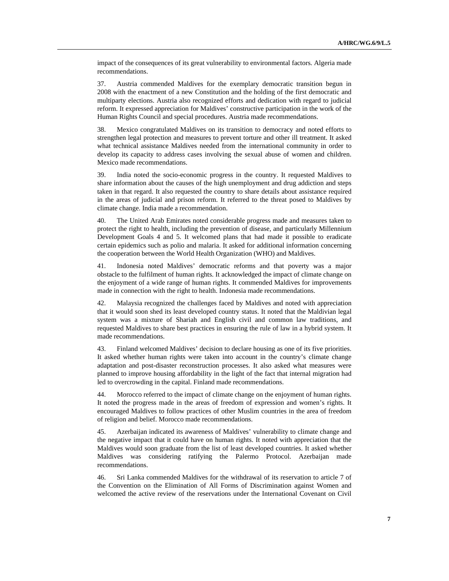impact of the consequences of its great vulnerability to environmental factors. Algeria made recommendations.

37. Austria commended Maldives for the exemplary democratic transition begun in 2008 with the enactment of a new Constitution and the holding of the first democratic and multiparty elections. Austria also recognized efforts and dedication with regard to judicial reform. It expressed appreciation for Maldives' constructive participation in the work of the Human Rights Council and special procedures. Austria made recommendations.

38. Mexico congratulated Maldives on its transition to democracy and noted efforts to strengthen legal protection and measures to prevent torture and other ill treatment. It asked what technical assistance Maldives needed from the international community in order to develop its capacity to address cases involving the sexual abuse of women and children. Mexico made recommendations.

39. India noted the socio-economic progress in the country. It requested Maldives to share information about the causes of the high unemployment and drug addiction and steps taken in that regard. It also requested the country to share details about assistance required in the areas of judicial and prison reform. It referred to the threat posed to Maldives by climate change. India made a recommendation.

40. The United Arab Emirates noted considerable progress made and measures taken to protect the right to health, including the prevention of disease, and particularly Millennium Development Goals 4 and 5. It welcomed plans that had made it possible to eradicate certain epidemics such as polio and malaria. It asked for additional information concerning the cooperation between the World Health Organization (WHO) and Maldives.

41. Indonesia noted Maldives' democratic reforms and that poverty was a major obstacle to the fulfilment of human rights. It acknowledged the impact of climate change on the enjoyment of a wide range of human rights. It commended Maldives for improvements made in connection with the right to health. Indonesia made recommendations.

42. Malaysia recognized the challenges faced by Maldives and noted with appreciation that it would soon shed its least developed country status. It noted that the Maldivian legal system was a mixture of Shariah and English civil and common law traditions, and requested Maldives to share best practices in ensuring the rule of law in a hybrid system. It made recommendations.

43. Finland welcomed Maldives' decision to declare housing as one of its five priorities. It asked whether human rights were taken into account in the country's climate change adaptation and post-disaster reconstruction processes. It also asked what measures were planned to improve housing affordability in the light of the fact that internal migration had led to overcrowding in the capital. Finland made recommendations.

44. Morocco referred to the impact of climate change on the enjoyment of human rights. It noted the progress made in the areas of freedom of expression and women's rights. It encouraged Maldives to follow practices of other Muslim countries in the area of freedom of religion and belief. Morocco made recommendations.

45. Azerbaijan indicated its awareness of Maldives' vulnerability to climate change and the negative impact that it could have on human rights. It noted with appreciation that the Maldives would soon graduate from the list of least developed countries. It asked whether Maldives was considering ratifying the Palermo Protocol. Azerbaijan made recommendations.

46. Sri Lanka commended Maldives for the withdrawal of its reservation to article 7 of the Convention on the Elimination of All Forms of Discrimination against Women and welcomed the active review of the reservations under the International Covenant on Civil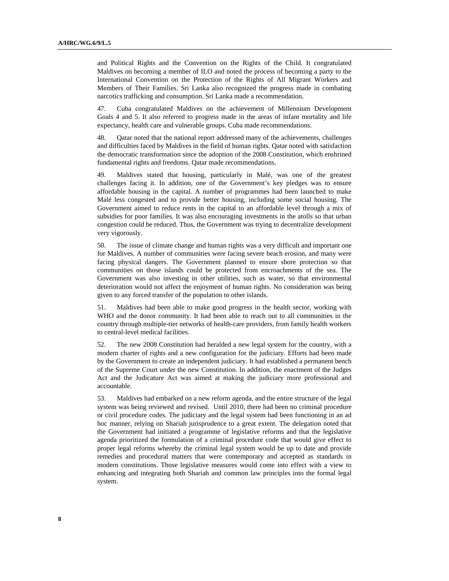and Political Rights and the Convention on the Rights of the Child. It congratulated Maldives on becoming a member of ILO and noted the process of becoming a party to the International Convention on the Protection of the Rights of All Migrant Workers and Members of Their Families. Sri Lanka also recognized the progress made in combating narcotics trafficking and consumption. Sri Lanka made a recommendation.

47. Cuba congratulated Maldives on the achievement of Millennium Development Goals 4 and 5. It also referred to progress made in the areas of infant mortality and life expectancy, health care and vulnerable groups. Cuba made recommendations.

48. Qatar noted that the national report addressed many of the achievements, challenges and difficulties faced by Maldives in the field of human rights. Qatar noted with satisfaction the democratic transformation since the adoption of the 2008 Constitution, which enshrined fundamental rights and freedoms. Qatar made recommendations.

49. Maldives stated that housing, particularly in Malé, was one of the greatest challenges facing it. In addition, one of the Government's key pledges was to ensure affordable housing in the capital. A number of programmes had been launched to make Malé less congested and to provide better housing, including some social housing. The Government aimed to reduce rents in the capital to an affordable level through a mix of subsidies for poor families. It was also encouraging investments in the atolls so that urban congestion could be reduced. Thus, the Government was trying to decentralize development very vigorously.

50. The issue of climate change and human rights was a very difficult and important one for Maldives. A number of communities were facing severe beach erosion, and many were facing physical dangers. The Government planned to ensure shore protection so that communities on those islands could be protected from encroachments of the sea. The Government was also investing in other utilities, such as water, so that environmental deterioration would not affect the enjoyment of human rights. No consideration was being given to any forced transfer of the population to other islands.

51. Maldives had been able to make good progress in the health sector, working with WHO and the donor community. It had been able to reach out to all communities in the country through multiple-tier networks of health-care providers, from family health workers to central-level medical facilities.

52. The new 2008 Constitution had heralded a new legal system for the country, with a modern charter of rights and a new configuration for the judiciary. Efforts had been made by the Government to create an independent judiciary. It had established a permanent bench of the Supreme Court under the new Constitution. In addition, the enactment of the Judges Act and the Judicature Act was aimed at making the judiciary more professional and accountable.

53. Maldives had embarked on a new reform agenda, and the entire structure of the legal system was being reviewed and revised. Until 2010, there had been no criminal procedure or civil procedure codes. The judiciary and the legal system had been functioning in an ad hoc manner, relying on Shariah jurisprudence to a great extent. The delegation noted that the Government had initiated a programme of legislative reforms and that the legislative agenda prioritized the formulation of a criminal procedure code that would give effect to proper legal reforms whereby the criminal legal system would be up to date and provide remedies and procedural matters that were contemporary and accepted as standards in modern constitutions. Those legislative measures would come into effect with a view to enhancing and integrating both Shariah and common law principles into the formal legal system.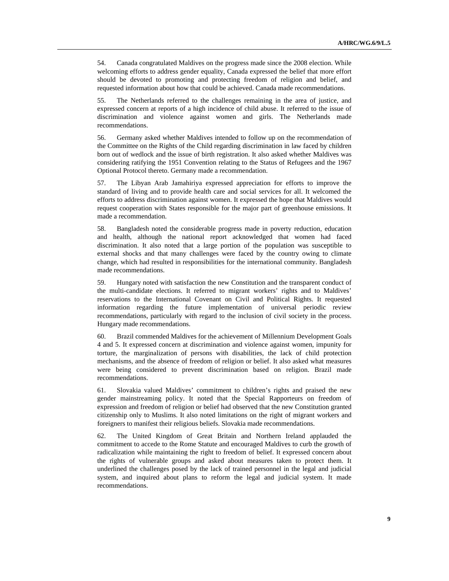54. Canada congratulated Maldives on the progress made since the 2008 election. While welcoming efforts to address gender equality, Canada expressed the belief that more effort should be devoted to promoting and protecting freedom of religion and belief, and requested information about how that could be achieved. Canada made recommendations.

55. The Netherlands referred to the challenges remaining in the area of justice, and expressed concern at reports of a high incidence of child abuse. It referred to the issue of discrimination and violence against women and girls. The Netherlands made recommendations.

56. Germany asked whether Maldives intended to follow up on the recommendation of the Committee on the Rights of the Child regarding discrimination in law faced by children born out of wedlock and the issue of birth registration. It also asked whether Maldives was considering ratifying the 1951 Convention relating to the Status of Refugees and the 1967 Optional Protocol thereto. Germany made a recommendation.

57. The Libyan Arab Jamahiriya expressed appreciation for efforts to improve the standard of living and to provide health care and social services for all. It welcomed the efforts to address discrimination against women. It expressed the hope that Maldives would request cooperation with States responsible for the major part of greenhouse emissions. It made a recommendation.

58. Bangladesh noted the considerable progress made in poverty reduction, education and health, although the national report acknowledged that women had faced discrimination. It also noted that a large portion of the population was susceptible to external shocks and that many challenges were faced by the country owing to climate change, which had resulted in responsibilities for the international community. Bangladesh made recommendations.

59. Hungary noted with satisfaction the new Constitution and the transparent conduct of the multi-candidate elections. It referred to migrant workers' rights and to Maldives' reservations to the International Covenant on Civil and Political Rights. It requested information regarding the future implementation of universal periodic review recommendations, particularly with regard to the inclusion of civil society in the process. Hungary made recommendations.

60. Brazil commended Maldives for the achievement of Millennium Development Goals 4 and 5. It expressed concern at discrimination and violence against women, impunity for torture, the marginalization of persons with disabilities, the lack of child protection mechanisms, and the absence of freedom of religion or belief. It also asked what measures were being considered to prevent discrimination based on religion. Brazil made recommendations.

61. Slovakia valued Maldives' commitment to children's rights and praised the new gender mainstreaming policy. It noted that the Special Rapporteurs on freedom of expression and freedom of religion or belief had observed that the new Constitution granted citizenship only to Muslims. It also noted limitations on the right of migrant workers and foreigners to manifest their religious beliefs. Slovakia made recommendations.

62. The United Kingdom of Great Britain and Northern Ireland applauded the commitment to accede to the Rome Statute and encouraged Maldives to curb the growth of radicalization while maintaining the right to freedom of belief. It expressed concern about the rights of vulnerable groups and asked about measures taken to protect them. It underlined the challenges posed by the lack of trained personnel in the legal and judicial system, and inquired about plans to reform the legal and judicial system. It made recommendations.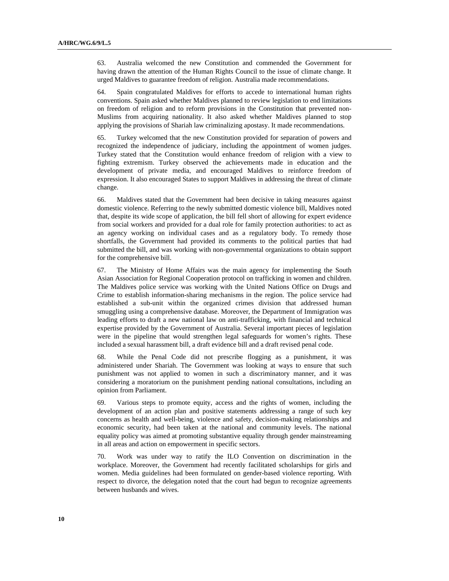63. Australia welcomed the new Constitution and commended the Government for having drawn the attention of the Human Rights Council to the issue of climate change. It urged Maldives to guarantee freedom of religion. Australia made recommendations.

64. Spain congratulated Maldives for efforts to accede to international human rights conventions. Spain asked whether Maldives planned to review legislation to end limitations on freedom of religion and to reform provisions in the Constitution that prevented non-Muslims from acquiring nationality. It also asked whether Maldives planned to stop applying the provisions of Shariah law criminalizing apostasy. It made recommendations.

65. Turkey welcomed that the new Constitution provided for separation of powers and recognized the independence of judiciary, including the appointment of women judges. Turkey stated that the Constitution would enhance freedom of religion with a view to fighting extremism. Turkey observed the achievements made in education and the development of private media, and encouraged Maldives to reinforce freedom of expression. It also encouraged States to support Maldives in addressing the threat of climate change.

66. Maldives stated that the Government had been decisive in taking measures against domestic violence. Referring to the newly submitted domestic violence bill, Maldives noted that, despite its wide scope of application, the bill fell short of allowing for expert evidence from social workers and provided for a dual role for family protection authorities: to act as an agency working on individual cases and as a regulatory body. To remedy those shortfalls, the Government had provided its comments to the political parties that had submitted the bill, and was working with non-governmental organizations to obtain support for the comprehensive bill.

67. The Ministry of Home Affairs was the main agency for implementing the South Asian Association for Regional Cooperation protocol on trafficking in women and children. The Maldives police service was working with the United Nations Office on Drugs and Crime to establish information-sharing mechanisms in the region. The police service had established a sub-unit within the organized crimes division that addressed human smuggling using a comprehensive database. Moreover, the Department of Immigration was leading efforts to draft a new national law on anti-trafficking, with financial and technical expertise provided by the Government of Australia. Several important pieces of legislation were in the pipeline that would strengthen legal safeguards for women's rights. These included a sexual harassment bill, a draft evidence bill and a draft revised penal code.

68. While the Penal Code did not prescribe flogging as a punishment, it was administered under Shariah. The Government was looking at ways to ensure that such punishment was not applied to women in such a discriminatory manner, and it was considering a moratorium on the punishment pending national consultations, including an opinion from Parliament.

69. Various steps to promote equity, access and the rights of women, including the development of an action plan and positive statements addressing a range of such key concerns as health and well-being, violence and safety, decision-making relationships and economic security, had been taken at the national and community levels. The national equality policy was aimed at promoting substantive equality through gender mainstreaming in all areas and action on empowerment in specific sectors.

70. Work was under way to ratify the ILO Convention on discrimination in the workplace. Moreover, the Government had recently facilitated scholarships for girls and women. Media guidelines had been formulated on gender-based violence reporting. With respect to divorce, the delegation noted that the court had begun to recognize agreements between husbands and wives.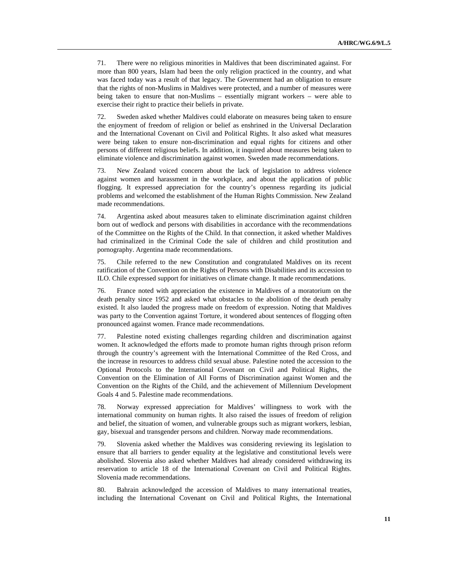71. There were no religious minorities in Maldives that been discriminated against. For more than 800 years, Islam had been the only religion practiced in the country, and what was faced today was a result of that legacy. The Government had an obligation to ensure that the rights of non-Muslims in Maldives were protected, and a number of measures were being taken to ensure that non-Muslims – essentially migrant workers – were able to exercise their right to practice their beliefs in private.

72. Sweden asked whether Maldives could elaborate on measures being taken to ensure the enjoyment of freedom of religion or belief as enshrined in the Universal Declaration and the International Covenant on Civil and Political Rights. It also asked what measures were being taken to ensure non-discrimination and equal rights for citizens and other persons of different religious beliefs. In addition, it inquired about measures being taken to eliminate violence and discrimination against women. Sweden made recommendations.

73. New Zealand voiced concern about the lack of legislation to address violence against women and harassment in the workplace, and about the application of public flogging. It expressed appreciation for the country's openness regarding its judicial problems and welcomed the establishment of the Human Rights Commission. New Zealand made recommendations.

74. Argentina asked about measures taken to eliminate discrimination against children born out of wedlock and persons with disabilities in accordance with the recommendations of the Committee on the Rights of the Child. In that connection, it asked whether Maldives had criminalized in the Criminal Code the sale of children and child prostitution and pornography. Argentina made recommendations.

75. Chile referred to the new Constitution and congratulated Maldives on its recent ratification of the Convention on the Rights of Persons with Disabilities and its accession to ILO. Chile expressed support for initiatives on climate change. It made recommendations.

76. France noted with appreciation the existence in Maldives of a moratorium on the death penalty since 1952 and asked what obstacles to the abolition of the death penalty existed. It also lauded the progress made on freedom of expression. Noting that Maldives was party to the Convention against Torture, it wondered about sentences of flogging often pronounced against women. France made recommendations.

77. Palestine noted existing challenges regarding children and discrimination against women. It acknowledged the efforts made to promote human rights through prison reform through the country's agreement with the International Committee of the Red Cross, and the increase in resources to address child sexual abuse. Palestine noted the accession to the Optional Protocols to the International Covenant on Civil and Political Rights, the Convention on the Elimination of All Forms of Discrimination against Women and the Convention on the Rights of the Child, and the achievement of Millennium Development Goals 4 and 5. Palestine made recommendations.

78. Norway expressed appreciation for Maldives' willingness to work with the international community on human rights. It also raised the issues of freedom of religion and belief, the situation of women, and vulnerable groups such as migrant workers, lesbian, gay, bisexual and transgender persons and children. Norway made recommendations.

79. Slovenia asked whether the Maldives was considering reviewing its legislation to ensure that all barriers to gender equality at the legislative and constitutional levels were abolished. Slovenia also asked whether Maldives had already considered withdrawing its reservation to article 18 of the International Covenant on Civil and Political Rights. Slovenia made recommendations.

80. Bahrain acknowledged the accession of Maldives to many international treaties, including the International Covenant on Civil and Political Rights, the International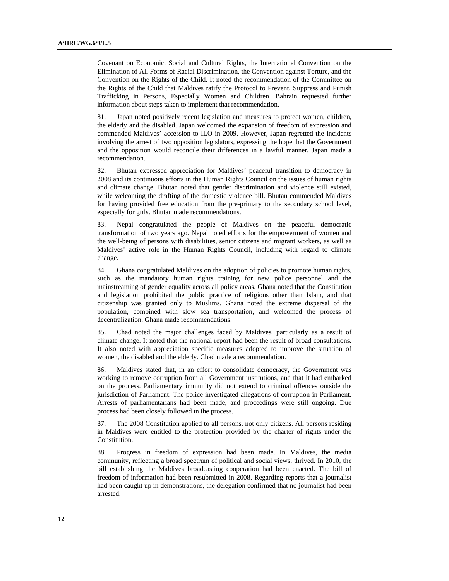Covenant on Economic, Social and Cultural Rights, the International Convention on the Elimination of All Forms of Racial Discrimination, the Convention against Torture, and the Convention on the Rights of the Child. It noted the recommendation of the Committee on the Rights of the Child that Maldives ratify the Protocol to Prevent, Suppress and Punish Trafficking in Persons, Especially Women and Children. Bahrain requested further information about steps taken to implement that recommendation.

81. Japan noted positively recent legislation and measures to protect women, children, the elderly and the disabled. Japan welcomed the expansion of freedom of expression and commended Maldives' accession to ILO in 2009. However, Japan regretted the incidents involving the arrest of two opposition legislators, expressing the hope that the Government and the opposition would reconcile their differences in a lawful manner. Japan made a recommendation.

82. Bhutan expressed appreciation for Maldives' peaceful transition to democracy in 2008 and its continuous efforts in the Human Rights Council on the issues of human rights and climate change. Bhutan noted that gender discrimination and violence still existed, while welcoming the drafting of the domestic violence bill. Bhutan commended Maldives for having provided free education from the pre-primary to the secondary school level, especially for girls. Bhutan made recommendations.

83. Nepal congratulated the people of Maldives on the peaceful democratic transformation of two years ago. Nepal noted efforts for the empowerment of women and the well-being of persons with disabilities, senior citizens and migrant workers, as well as Maldives' active role in the Human Rights Council, including with regard to climate change.

84. Ghana congratulated Maldives on the adoption of policies to promote human rights, such as the mandatory human rights training for new police personnel and the mainstreaming of gender equality across all policy areas. Ghana noted that the Constitution and legislation prohibited the public practice of religions other than Islam, and that citizenship was granted only to Muslims. Ghana noted the extreme dispersal of the population, combined with slow sea transportation, and welcomed the process of decentralization. Ghana made recommendations.

85. Chad noted the major challenges faced by Maldives, particularly as a result of climate change. It noted that the national report had been the result of broad consultations. It also noted with appreciation specific measures adopted to improve the situation of women, the disabled and the elderly. Chad made a recommendation.

86. Maldives stated that, in an effort to consolidate democracy, the Government was working to remove corruption from all Government institutions, and that it had embarked on the process. Parliamentary immunity did not extend to criminal offences outside the jurisdiction of Parliament. The police investigated allegations of corruption in Parliament. Arrests of parliamentarians had been made, and proceedings were still ongoing. Due process had been closely followed in the process.

87. The 2008 Constitution applied to all persons, not only citizens. All persons residing in Maldives were entitled to the protection provided by the charter of rights under the Constitution.

88. Progress in freedom of expression had been made. In Maldives, the media community, reflecting a broad spectrum of political and social views, thrived. In 2010, the bill establishing the Maldives broadcasting cooperation had been enacted. The bill of freedom of information had been resubmitted in 2008. Regarding reports that a journalist had been caught up in demonstrations, the delegation confirmed that no journalist had been arrested.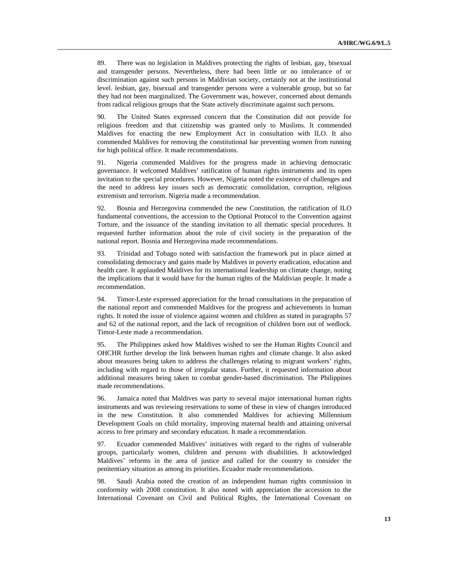89. There was no legislation in Maldives protecting the rights of lesbian, gay, bisexual and transgender persons. Nevertheless, there had been little or no intolerance of or discrimination against such persons in Maldivian society, certainly not at the institutional level. lesbian, gay, bisexual and transgender persons were a vulnerable group, but so far they had not been marginalized. The Government was, however, concerned about demands from radical religious groups that the State actively discriminate against such persons.

90. The United States expressed concern that the Constitution did not provide for religious freedom and that citizenship was granted only to Muslims. It commended Maldives for enacting the new Employment Act in consultation with ILO. It also commended Maldives for removing the constitutional bar preventing women from running for high political office. It made recommendations.

91. Nigeria commended Maldives for the progress made in achieving democratic governance. It welcomed Maldives' ratification of human rights instruments and its open invitation to the special procedures. However, Nigeria noted the existence of challenges and the need to address key issues such as democratic consolidation, corruption, religious extremism and terrorism. Nigeria made a recommendation.

92. Bosnia and Herzegovina commended the new Constitution, the ratification of ILO fundamental conventions, the accession to the Optional Protocol to the Convention against Torture, and the issuance of the standing invitation to all thematic special procedures. It requested further information about the role of civil society in the preparation of the national report. Bosnia and Herzegovina made recommendations.

93. Trinidad and Tobago noted with satisfaction the framework put in place aimed at consolidating democracy and gains made by Maldives in poverty eradication, education and health care. It applauded Maldives for its international leadership on climate change, noting the implications that it would have for the human rights of the Maldivian people. It made a recommendation.

94. Timor-Leste expressed appreciation for the broad consultations in the preparation of the national report and commended Maldives for the progress and achievements in human rights. It noted the issue of violence against women and children as stated in paragraphs 57 and 62 of the national report, and the lack of recognition of children born out of wedlock. Timor-Leste made a recommendation.

95. The Philippines asked how Maldives wished to see the Human Rights Council and OHCHR further develop the link between human rights and climate change. It also asked about measures being taken to address the challenges relating to migrant workers' rights, including with regard to those of irregular status. Further, it requested information about additional measures being taken to combat gender-based discrimination. The Philippines made recommendations.

96. Jamaica noted that Maldives was party to several major international human rights instruments and was reviewing reservations to some of these in view of changes introduced in the new Constitution. It also commended Maldives for achieving Millennium Development Goals on child mortality, improving maternal health and attaining universal access to free primary and secondary education. It made a recommendation.

97. Ecuador commended Maldives' initiatives with regard to the rights of vulnerable groups, particularly women, children and persons with disabilities. It acknowledged Maldives' reforms in the area of justice and called for the country to consider the penitentiary situation as among its priorities. Ecuador made recommendations.

98. Saudi Arabia noted the creation of an independent human rights commission in conformity with 2008 constitution. It also noted with appreciation the accession to the International Covenant on Civil and Political Rights, the International Covenant on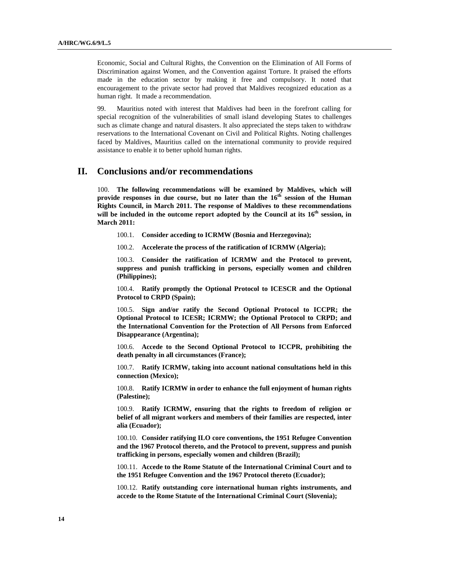Economic, Social and Cultural Rights, the Convention on the Elimination of All Forms of Discrimination against Women, and the Convention against Torture. It praised the efforts made in the education sector by making it free and compulsory. It noted that encouragement to the private sector had proved that Maldives recognized education as a human right. It made a recommendation.

99. Mauritius noted with interest that Maldives had been in the forefront calling for special recognition of the vulnerabilities of small island developing States to challenges such as climate change and natural disasters. It also appreciated the steps taken to withdraw reservations to the International Covenant on Civil and Political Rights. Noting challenges faced by Maldives, Mauritius called on the international community to provide required assistance to enable it to better uphold human rights.

### **II. Conclusions and/or recommendations**

100. **The following recommendations will be examined by Maldives, which will provide responses in due course, but no later than the 16th session of the Human Rights Council, in March 2011. The response of Maldives to these recommendations will be included in the outcome report adopted by the Council at its 16th session, in March 2011:**

100.1. **Consider acceding to ICRMW (Bosnia and Herzegovina);** 

100.2. **Accelerate the process of the ratification of ICRMW (Algeria);** 

100.3. **Consider the ratification of ICRMW and the Protocol to prevent, suppress and punish trafficking in persons, especially women and children (Philippines);** 

100.4. **Ratify promptly the Optional Protocol to ICESCR and the Optional Protocol to CRPD (Spain);** 

100.5. **Sign and/or ratify the Second Optional Protocol to ICCPR; the Optional Protocol to ICESR; ICRMW; the Optional Protocol to CRPD; and the International Convention for the Protection of All Persons from Enforced Disappearance (Argentina);** 

100.6. **Accede to the Second Optional Protocol to ICCPR, prohibiting the death penalty in all circumstances (France);** 

100.7. **Ratify ICRMW, taking into account national consultations held in this connection (Mexico);** 

100.8. **Ratify ICRMW in order to enhance the full enjoyment of human rights (Palestine);** 

100.9. **Ratify ICRMW, ensuring that the rights to freedom of religion or belief of all migrant workers and members of their families are respected, inter alia (Ecuador);** 

100.10. **Consider ratifying ILO core conventions, the 1951 Refugee Convention and the 1967 Protocol thereto, and the Protocol to prevent, suppress and punish trafficking in persons, especially women and children (Brazil);** 

100.11. **Accede to the Rome Statute of the International Criminal Court and to the 1951 Refugee Convention and the 1967 Protocol thereto (Ecuador);** 

100.12. **Ratify outstanding core international human rights instruments, and accede to the Rome Statute of the International Criminal Court (Slovenia);**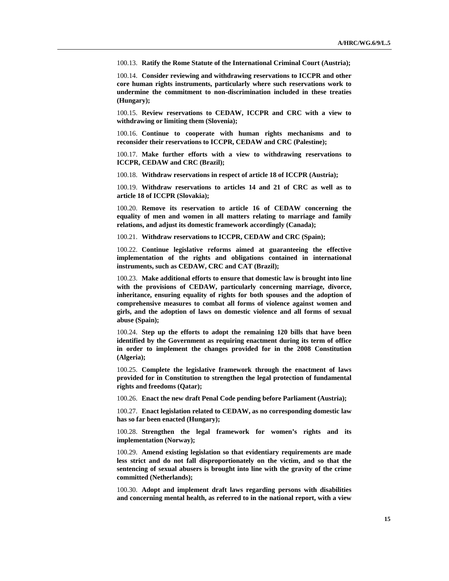100.13. **Ratify the Rome Statute of the International Criminal Court (Austria);** 

100.14. **Consider reviewing and withdrawing reservations to ICCPR and other core human rights instruments, particularly where such reservations work to undermine the commitment to non-discrimination included in these treaties (Hungary);** 

100.15. **Review reservations to CEDAW, ICCPR and CRC with a view to withdrawing or limiting them (Slovenia);** 

100.16. **Continue to cooperate with human rights mechanisms and to reconsider their reservations to ICCPR, CEDAW and CRC (Palestine);** 

100.17. **Make further efforts with a view to withdrawing reservations to ICCPR, CEDAW and CRC (Brazil);** 

100.18. **Withdraw reservations in respect of article 18 of ICCPR (Austria);** 

100.19. **Withdraw reservations to articles 14 and 21 of CRC as well as to article 18 of ICCPR (Slovakia);** 

100.20. **Remove its reservation to article 16 of CEDAW concerning the equality of men and women in all matters relating to marriage and family relations, and adjust its domestic framework accordingly (Canada);** 

100.21. **Withdraw reservations to ICCPR, CEDAW and CRC (Spain);** 

100.22. **Continue legislative reforms aimed at guaranteeing the effective implementation of the rights and obligations contained in international instruments, such as CEDAW, CRC and CAT (Brazil);** 

100.23. **Make additional efforts to ensure that domestic law is brought into line with the provisions of CEDAW, particularly concerning marriage, divorce, inheritance, ensuring equality of rights for both spouses and the adoption of comprehensive measures to combat all forms of violence against women and girls, and the adoption of laws on domestic violence and all forms of sexual abuse (Spain);** 

100.24. **Step up the efforts to adopt the remaining 120 bills that have been identified by the Government as requiring enactment during its term of office in order to implement the changes provided for in the 2008 Constitution (Algeria);** 

100.25. **Complete the legislative framework through the enactment of laws provided for in Constitution to strengthen the legal protection of fundamental rights and freedoms (Qatar);** 

100.26. **Enact the new draft Penal Code pending before Parliament (Austria);** 

100.27. **Enact legislation related to CEDAW, as no corresponding domestic law has so far been enacted (Hungary);** 

100.28. **Strengthen the legal framework for women's rights and its implementation (Norway);** 

100.29. **Amend existing legislation so that evidentiary requirements are made less strict and do not fall disproportionately on the victim, and so that the sentencing of sexual abusers is brought into line with the gravity of the crime committed (Netherlands);** 

100.30. **Adopt and implement draft laws regarding persons with disabilities and concerning mental health, as referred to in the national report, with a view**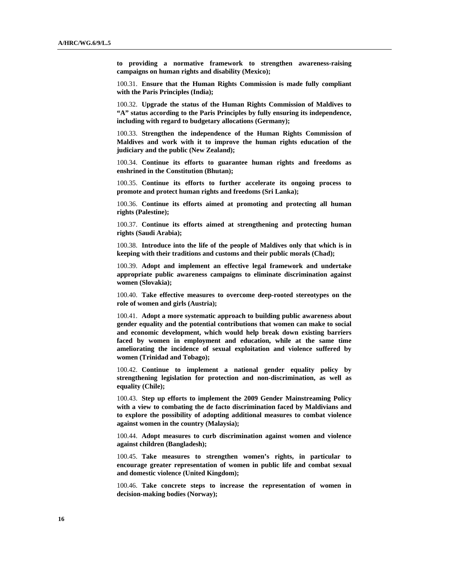**to providing a normative framework to strengthen awareness-raising campaigns on human rights and disability (Mexico);** 

100.31. **Ensure that the Human Rights Commission is made fully compliant with the Paris Principles (India);** 

100.32. **Upgrade the status of the Human Rights Commission of Maldives to "A" status according to the Paris Principles by fully ensuring its independence, including with regard to budgetary allocations (Germany);** 

100.33. **Strengthen the independence of the Human Rights Commission of Maldives and work with it to improve the human rights education of the judiciary and the public (New Zealand);** 

100.34. **Continue its efforts to guarantee human rights and freedoms as enshrined in the Constitution (Bhutan);** 

100.35. **Continue its efforts to further accelerate its ongoing process to promote and protect human rights and freedoms (Sri Lanka);** 

100.36. **Continue its efforts aimed at promoting and protecting all human rights (Palestine);** 

100.37. **Continue its efforts aimed at strengthening and protecting human rights (Saudi Arabia);** 

100.38. **Introduce into the life of the people of Maldives only that which is in keeping with their traditions and customs and their public morals (Chad);** 

100.39. **Adopt and implement an effective legal framework and undertake appropriate public awareness campaigns to eliminate discrimination against women (Slovakia);** 

100.40. **Take effective measures to overcome deep-rooted stereotypes on the role of women and girls (Austria);** 

100.41. **Adopt a more systematic approach to building public awareness about gender equality and the potential contributions that women can make to social and economic development, which would help break down existing barriers faced by women in employment and education, while at the same time ameliorating the incidence of sexual exploitation and violence suffered by women (Trinidad and Tobago);** 

100.42. **Continue to implement a national gender equality policy by strengthening legislation for protection and non-discrimination, as well as equality (Chile);** 

100.43. **Step up efforts to implement the 2009 Gender Mainstreaming Policy with a view to combating the de facto discrimination faced by Maldivians and to explore the possibility of adopting additional measures to combat violence against women in the country (Malaysia);** 

100.44. **Adopt measures to curb discrimination against women and violence against children (Bangladesh);** 

100.45. **Take measures to strengthen women's rights, in particular to encourage greater representation of women in public life and combat sexual and domestic violence (United Kingdom);** 

100.46. **Take concrete steps to increase the representation of women in decision-making bodies (Norway);**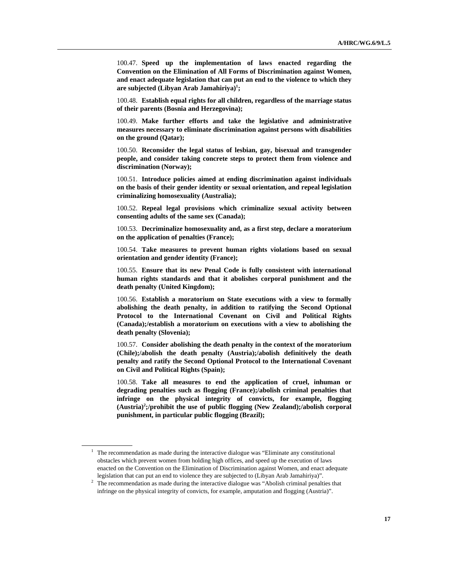100.47. **Speed up the implementation of laws enacted regarding the Convention on the Elimination of All Forms of Discrimination against Women, and enact adequate legislation that can put an end to the violence to which they are subjected (Libyan Arab Jamahiriya)1 ;** 

100.48. **Establish equal rights for all children, regardless of the marriage status of their parents (Bosnia and Herzegovina);** 

100.49. **Make further efforts and take the legislative and administrative measures necessary to eliminate discrimination against persons with disabilities on the ground (Qatar);** 

100.50. **Reconsider the legal status of lesbian, gay, bisexual and transgender people, and consider taking concrete steps to protect them from violence and discrimination (Norway);** 

100.51. **Introduce policies aimed at ending discrimination against individuals on the basis of their gender identity or sexual orientation, and repeal legislation criminalizing homosexuality (Australia);** 

100.52. **Repeal legal provisions which criminalize sexual activity between consenting adults of the same sex (Canada);** 

100.53. **Decriminalize homosexuality and, as a first step, declare a moratorium on the application of penalties (France);** 

100.54. **Take measures to prevent human rights violations based on sexual orientation and gender identity (France);** 

100.55. **Ensure that its new Penal Code is fully consistent with international human rights standards and that it abolishes corporal punishment and the death penalty (United Kingdom);** 

100.56. **Establish a moratorium on State executions with a view to formally abolishing the death penalty, in addition to ratifying the Second Optional Protocol to the International Covenant on Civil and Political Rights (Canada);/establish a moratorium on executions with a view to abolishing the death penalty (Slovenia);** 

100.57. **Consider abolishing the death penalty in the context of the moratorium (Chile);/abolish the death penalty (Austria);/abolish definitively the death penalty and ratify the Second Optional Protocol to the International Covenant on Civil and Political Rights (Spain);** 

100.58. **Take all measures to end the application of cruel, inhuman or degrading penalties such as flogging (France);/abolish criminal penalties that infringe on the physical integrity of convicts, for example, flogging (Austria)2 ;/prohibit the use of public flogging (New Zealand);/abolish corporal punishment, in particular public flogging (Brazil);** 

<sup>&</sup>lt;sup>1</sup> The recommendation as made during the interactive dialogue was "Eliminate any constitutional obstacles which prevent women from holding high offices, and speed up the execution of laws enacted on the Convention on the Elimination of Discrimination against Women, and enact adequate

legislation that can put an end to violence they are subjected to (Libyan Arab Jamahiriya)".<br><sup>2</sup> The recommendation as made during the interactive dialogue was "Abolish criminal penalties that infringe on the physical integrity of convicts, for example, amputation and flogging (Austria)".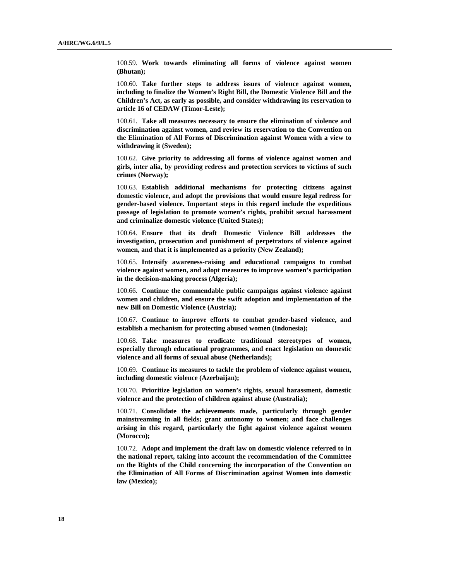100.59. **Work towards eliminating all forms of violence against women (Bhutan);** 

100.60. **Take further steps to address issues of violence against women, including to finalize the Women's Right Bill, the Domestic Violence Bill and the Children's Act, as early as possible, and consider withdrawing its reservation to article 16 of CEDAW (Timor-Leste);** 

100.61. **Take all measures necessary to ensure the elimination of violence and discrimination against women, and review its reservation to the Convention on the Elimination of All Forms of Discrimination against Women with a view to withdrawing it (Sweden);** 

100.62. **Give priority to addressing all forms of violence against women and girls, inter alia, by providing redress and protection services to victims of such crimes (Norway);** 

100.63. **Establish additional mechanisms for protecting citizens against domestic violence, and adopt the provisions that would ensure legal redress for gender-based violence. Important steps in this regard include the expeditious passage of legislation to promote women's rights, prohibit sexual harassment and criminalize domestic violence (United States);** 

100.64. **Ensure that its draft Domestic Violence Bill addresses the investigation, prosecution and punishment of perpetrators of violence against women, and that it is implemented as a priority (New Zealand);** 

100.65. **Intensify awareness-raising and educational campaigns to combat violence against women, and adopt measures to improve women's participation in the decision-making process (Algeria);** 

100.66. **Continue the commendable public campaigns against violence against women and children, and ensure the swift adoption and implementation of the new Bill on Domestic Violence (Austria);** 

100.67. **Continue to improve efforts to combat gender-based violence, and establish a mechanism for protecting abused women (Indonesia);** 

100.68. **Take measures to eradicate traditional stereotypes of women, especially through educational programmes, and enact legislation on domestic violence and all forms of sexual abuse (Netherlands);** 

100.69. **Continue its measures to tackle the problem of violence against women, including domestic violence (Azerbaijan);** 

100.70. **Prioritize legislation on women's rights, sexual harassment, domestic violence and the protection of children against abuse (Australia);** 

100.71. **Consolidate the achievements made, particularly through gender mainstreaming in all fields; grant autonomy to women; and face challenges arising in this regard, particularly the fight against violence against women (Morocco);** 

100.72. **Adopt and implement the draft law on domestic violence referred to in the national report, taking into account the recommendation of the Committee on the Rights of the Child concerning the incorporation of the Convention on the Elimination of All Forms of Discrimination against Women into domestic law (Mexico);**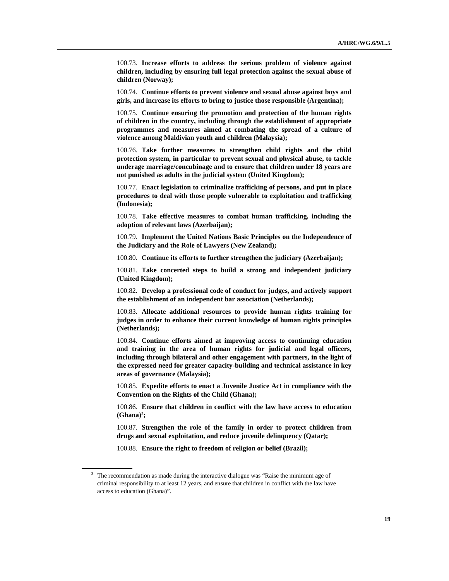100.73. **Increase efforts to address the serious problem of violence against children, including by ensuring full legal protection against the sexual abuse of children (Norway);** 

100.74. **Continue efforts to prevent violence and sexual abuse against boys and girls, and increase its efforts to bring to justice those responsible (Argentina);** 

100.75. **Continue ensuring the promotion and protection of the human rights of children in the country, including through the establishment of appropriate programmes and measures aimed at combating the spread of a culture of violence among Maldivian youth and children (Malaysia);** 

100.76. **Take further measures to strengthen child rights and the child protection system, in particular to prevent sexual and physical abuse, to tackle underage marriage/concubinage and to ensure that children under 18 years are not punished as adults in the judicial system (United Kingdom);** 

100.77. **Enact legislation to criminalize trafficking of persons, and put in place procedures to deal with those people vulnerable to exploitation and trafficking (Indonesia);** 

100.78. **Take effective measures to combat human trafficking, including the adoption of relevant laws (Azerbaijan);** 

100.79. **Implement the United Nations Basic Principles on the Independence of the Judiciary and the Role of Lawyers (New Zealand);** 

100.80. **Continue its efforts to further strengthen the judiciary (Azerbaijan);** 

100.81. **Take concerted steps to build a strong and independent judiciary (United Kingdom);** 

100.82. **Develop a professional code of conduct for judges, and actively support the establishment of an independent bar association (Netherlands);** 

100.83. **Allocate additional resources to provide human rights training for judges in order to enhance their current knowledge of human rights principles (Netherlands);** 

100.84. **Continue efforts aimed at improving access to continuing education and training in the area of human rights for judicial and legal officers, including through bilateral and other engagement with partners, in the light of the expressed need for greater capacity-building and technical assistance in key areas of governance (Malaysia);** 

100.85. **Expedite efforts to enact a Juvenile Justice Act in compliance with the Convention on the Rights of the Child (Ghana);** 

100.86. **Ensure that children in conflict with the law have access to education**   $(Ghana)^3$ ;

100.87. **Strengthen the role of the family in order to protect children from drugs and sexual exploitation, and reduce juvenile delinquency (Qatar);** 

100.88. **Ensure the right to freedom of religion or belief (Brazil);** 

<sup>&</sup>lt;sup>3</sup> The recommendation as made during the interactive dialogue was "Raise the minimum age of criminal responsibility to at least 12 years, and ensure that children in conflict with the law have access to education (Ghana)".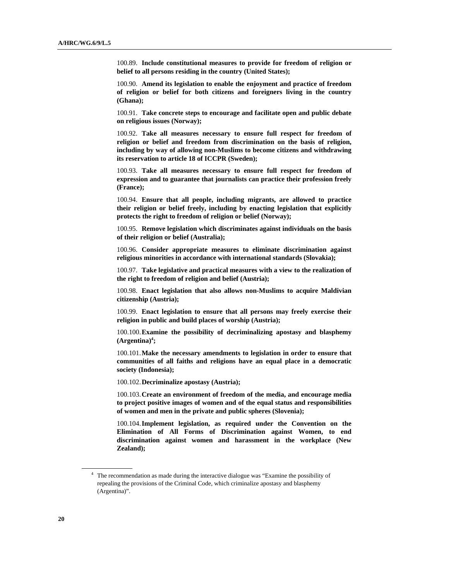100.89. **Include constitutional measures to provide for freedom of religion or belief to all persons residing in the country (United States);** 

100.90. **Amend its legislation to enable the enjoyment and practice of freedom of religion or belief for both citizens and foreigners living in the country (Ghana);** 

100.91. **Take concrete steps to encourage and facilitate open and public debate on religious issues (Norway);** 

100.92. **Take all measures necessary to ensure full respect for freedom of religion or belief and freedom from discrimination on the basis of religion, including by way of allowing non-Muslims to become citizens and withdrawing its reservation to article 18 of ICCPR (Sweden);** 

100.93. **Take all measures necessary to ensure full respect for freedom of expression and to guarantee that journalists can practice their profession freely (France);** 

100.94. **Ensure that all people, including migrants, are allowed to practice their religion or belief freely, including by enacting legislation that explicitly protects the right to freedom of religion or belief (Norway);** 

100.95. **Remove legislation which discriminates against individuals on the basis of their religion or belief (Australia);** 

100.96. **Consider appropriate measures to eliminate discrimination against religious minorities in accordance with international standards (Slovakia);** 

100.97. **Take legislative and practical measures with a view to the realization of the right to freedom of religion and belief (Austria);** 

100.98. **Enact legislation that also allows non-Muslims to acquire Maldivian citizenship (Austria);** 

100.99. **Enact legislation to ensure that all persons may freely exercise their religion in public and build places of worship (Austria);** 

100.100. **Examine the possibility of decriminalizing apostasy and blasphemy**   $(A$ rgentina $)^4$ ;

100.101. **Make the necessary amendments to legislation in order to ensure that communities of all faiths and religions have an equal place in a democratic society (Indonesia);** 

100.102. **Decriminalize apostasy (Austria);** 

100.103. **Create an environment of freedom of the media, and encourage media to project positive images of women and of the equal status and responsibilities of women and men in the private and public spheres (Slovenia);** 

100.104. **Implement legislation, as required under the Convention on the Elimination of All Forms of Discrimination against Women, to end discrimination against women and harassment in the workplace (New Zealand);** 

<sup>&</sup>lt;sup>4</sup> The recommendation as made during the interactive dialogue was "Examine the possibility of repealing the provisions of the Criminal Code, which criminalize apostasy and blasphemy (Argentina)".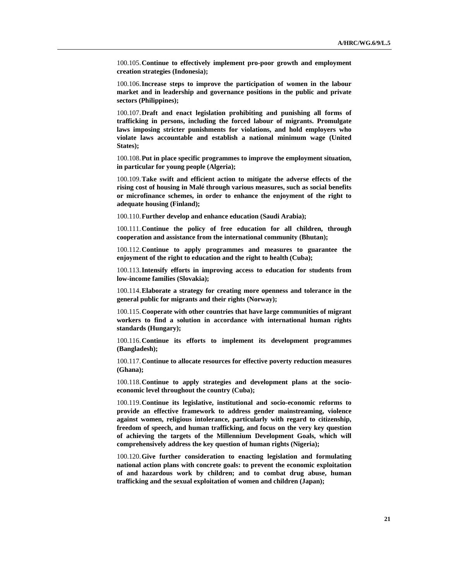100.105. **Continue to effectively implement pro-poor growth and employment creation strategies (Indonesia);** 

100.106. **Increase steps to improve the participation of women in the labour market and in leadership and governance positions in the public and private sectors (Philippines);** 

100.107. **Draft and enact legislation prohibiting and punishing all forms of trafficking in persons, including the forced labour of migrants. Promulgate laws imposing stricter punishments for violations, and hold employers who violate laws accountable and establish a national minimum wage (United States);** 

100.108. **Put in place specific programmes to improve the employment situation, in particular for young people (Algeria);** 

100.109. **Take swift and efficient action to mitigate the adverse effects of the rising cost of housing in Malé through various measures, such as social benefits or microfinance schemes, in order to enhance the enjoyment of the right to adequate housing (Finland);** 

100.110. **Further develop and enhance education (Saudi Arabia);** 

100.111. **Continue the policy of free education for all children, through cooperation and assistance from the international community (Bhutan);** 

100.112. **Continue to apply programmes and measures to guarantee the enjoyment of the right to education and the right to health (Cuba);** 

100.113. **Intensify efforts in improving access to education for students from low-income families (Slovakia);** 

100.114. **Elaborate a strategy for creating more openness and tolerance in the general public for migrants and their rights (Norway);** 

100.115. **Cooperate with other countries that have large communities of migrant workers to find a solution in accordance with international human rights standards (Hungary);** 

100.116. **Continue its efforts to implement its development programmes (Bangladesh);** 

100.117. **Continue to allocate resources for effective poverty reduction measures (Ghana);** 

100.118. **Continue to apply strategies and development plans at the socioeconomic level throughout the country (Cuba);** 

100.119. **Continue its legislative, institutional and socio-economic reforms to provide an effective framework to address gender mainstreaming, violence against women, religious intolerance, particularly with regard to citizenship, freedom of speech, and human trafficking, and focus on the very key question of achieving the targets of the Millennium Development Goals, which will comprehensively address the key question of human rights (Nigeria);** 

100.120. **Give further consideration to enacting legislation and formulating national action plans with concrete goals: to prevent the economic exploitation of and hazardous work by children; and to combat drug abuse, human trafficking and the sexual exploitation of women and children (Japan);**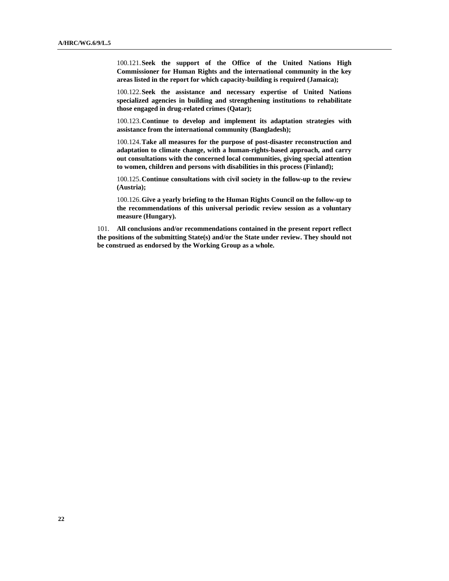100.121. **Seek the support of the Office of the United Nations High Commissioner for Human Rights and the international community in the key areas listed in the report for which capacity-building is required (Jamaica);** 

100.122. **Seek the assistance and necessary expertise of United Nations specialized agencies in building and strengthening institutions to rehabilitate those engaged in drug-related crimes (Qatar);** 

100.123. **Continue to develop and implement its adaptation strategies with assistance from the international community (Bangladesh);** 

100.124. **Take all measures for the purpose of post-disaster reconstruction and adaptation to climate change, with a human-rights-based approach, and carry out consultations with the concerned local communities, giving special attention to women, children and persons with disabilities in this process (Finland);** 

100.125. **Continue consultations with civil society in the follow-up to the review (Austria);** 

100.126. **Give a yearly briefing to the Human Rights Council on the follow-up to the recommendations of this universal periodic review session as a voluntary measure (Hungary).**

101. **All conclusions and/or recommendations contained in the present report reflect the positions of the submitting State(s) and/or the State under review. They should not be construed as endorsed by the Working Group as a whole.**